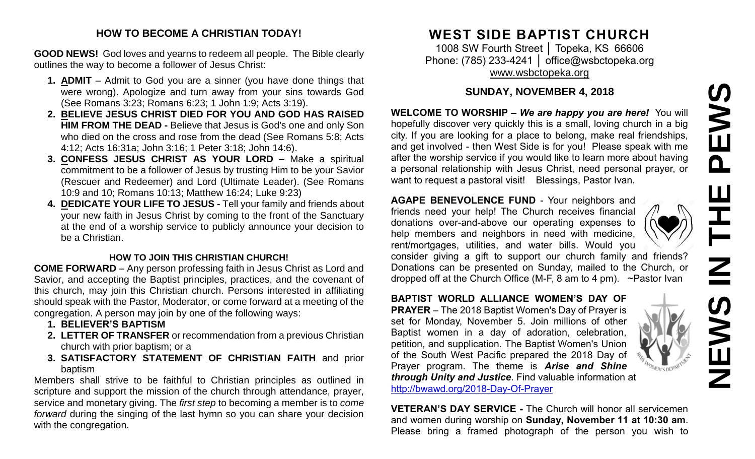# **NEWS IN THE PEWS**PEWS  $\underline{\mathsf{Z}}$  $\mathbf{u}$

#### **HOW TO BECOME A CHRISTIAN TODAY!**

**GOOD NEWS!** God loves and yearns to redeem all people. The Bible clearly outlines the way to become a follower of Jesus Christ:

- **1. ADMIT** Admit to God you are a sinner (you have done things that were wrong). Apologize and turn away from your sins towards God (See Romans 3:23; Romans 6:23; 1 John 1:9; Acts 3:19).
- **2. BELIEVE JESUS CHRIST DIED FOR YOU AND GOD HAS RAISED HIM FROM THE DEAD -** Believe that Jesus is God's one and only Son who died on the cross and rose from the dead (See Romans 5:8; Acts 4:12; Acts 16:31a; John 3:16; 1 Peter 3:18; John 14:6).
- **3. CONFESS JESUS CHRIST AS YOUR LORD –** Make a spiritual commitment to be a follower of Jesus by trusting Him to be your Savior (Rescuer and Redeemer) and Lord (Ultimate Leader). (See Romans 10:9 and 10; Romans 10:13; Matthew 16:24; Luke 9:23)
- **4. DEDICATE YOUR LIFE TO JESUS -** Tell your family and friends about your new faith in Jesus Christ by coming to the front of the Sanctuary at the end of a worship service to publicly announce your decision to be a Christian.

#### **HOW TO JOIN THIS CHRISTIAN CHURCH!**

**COME FORWARD** – Any person professing faith in Jesus Christ as Lord and Savior, and accepting the Baptist principles, practices, and the covenant of this church, may join this Christian church. Persons interested in affiliating should speak with the Pastor, Moderator, or come forward at a meeting of the congregation. A person may join by one of the following ways:

- **1. BELIEVER'S BAPTISM**
- **2. LETTER OF TRANSFER** or recommendation from a previous Christian church with prior baptism; or a
- **3. SATISFACTORY STATEMENT OF CHRISTIAN FAITH** and prior baptism

Members shall strive to be faithful to Christian principles as outlined in scripture and support the mission of the church through attendance, prayer, service and monetary giving. The *first step* to becoming a member is to *come forward* during the singing of the last hymn so you can share your decision with the congregation.

# **WEST SIDE BAPTIST CHURCH**

1008 SW Fourth Street │ Topeka, KS 66606 Phone: (785) 233-4241 | [office@wsbctopeka.org](mailto:office@wsbctopeka.org) [www.wsbctopeka.org](http://www.wsbctopeka.org/)

# **SUNDAY, NOVEMBER 4, 2018**

**WELCOME TO WORSHIP –** *We are happy you are here!* You will hopefully discover very quickly this is a small, loving church in a big city. If you are looking for a place to belong, make real friendships, and get involved - then West Side is for you! Please speak with me after the worship service if you would like to learn more about having a personal relationship with Jesus Christ, need personal prayer, or want to request a pastoral visit! Blessings, Pastor Ivan.

**AGAPE BENEVOLENCE FUND** - Your neighbors and friends need your help! The Church receives financial donations over-and-above our operating expenses to help members and neighbors in need with medicine, rent/mortgages, utilities, and water bills. Would you



consider giving a gift to support our church family and friends? Donations can be presented on Sunday, mailed to the Church, or dropped off at the Church Office (M-F, 8 am to 4 pm). ~Pastor Ivan

**BAPTIST WORLD ALLIANCE WOMEN'S DAY OF PRAYER** – The 2018 Baptist Women's Day of Prayer is set for Monday, November 5. Join millions of other Baptist women in a day of adoration, celebration, petition, and supplication. The Baptist Women's Union of the South West Pacific prepared the 2018 Day of Prayer program. The theme is *Arise and Shine through Unity and Justice*. Find valuable information at <http://bwawd.org/2018-Day-Of-Prayer>

**VETERAN'S DAY SERVICE -** The Church will honor all servicemen and women during worship on **Sunday, November 11 at 10:30 am**. Please bring a framed photograph of the person you wish to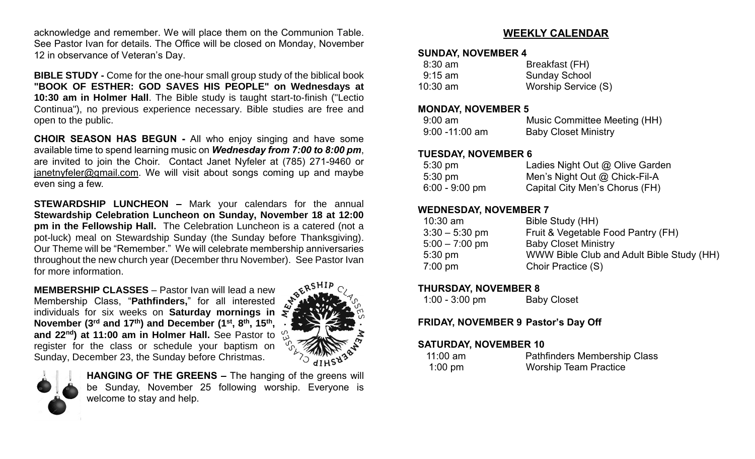acknowledge and remember. We will place them on the Communion Table. See Pastor Ivan for details. The Office will be closed on Monday, November 12 in observance of Veteran's Day.

**BIBLE STUDY -** Come for the one-hour small group study of the biblical book **"BOOK OF ESTHER: GOD SAVES HIS PEOPLE" on Wednesdays at 10:30 am in Holmer Hall**. The Bible study is taught start-to-finish ("Lectio Continua"), no previous experience necessary. Bible studies are free and open to the public.

**CHOIR SEASON HAS BEGUN -** All who enjoy singing and have some available time to spend learning music on *Wednesday from 7:00 to 8:00 pm*, are invited to join the Choir. Contact Janet Nyfeler at (785) 271-9460 or [janetnyfeler@gmail.com.](mailto:janetnyfeler@gmail.com) We will visit about songs coming up and maybe even sing a few.

**STEWARDSHIP LUNCHEON –** Mark your calendars for the annual **Stewardship Celebration Luncheon on Sunday, November 18 at 12:00 pm in the Fellowship Hall.** The Celebration Luncheon is a catered (not a pot-luck) meal on Stewardship Sunday (the Sunday before Thanksgiving). Our Theme will be "Remember." We will celebrate membership anniversaries throughout the new church year (December thru November). See Pastor Ivan for more information.

**MEMBERSHIP CLASSES** – Pastor Ivan will lead a new Membership Class, "**Pathfinders,**" for all interested individuals for six weeks on **Saturday mornings in November (3rd and 17th) and December (1 st , 8 th, 15th , and 22nd) at 11:00 am in Holmer Hall.** See Pastor to register for the class or schedule your baptism on Sunday, December 23, the Sunday before Christmas.





**HANGING OF THE GREENS –** The hanging of the greens will be Sunday, November 25 following worship. Everyone is welcome to stay and help.

## **WEEKLY CALENDAR**

#### **SUNDAY, NOVEMBER 4**

| $8:30$ am         | Breakfast (FH)       |
|-------------------|----------------------|
| $9:15 \text{ am}$ | <b>Sunday School</b> |
| $10:30$ am        | Worship Service (S)  |

#### **MONDAY, NOVEMBER 5**

| $9:00$ am         | Music Committee Meeting (HH) |
|-------------------|------------------------------|
| $9:00 - 11:00$ am | <b>Baby Closet Ministry</b>  |

#### **TUESDAY, NOVEMBER 6**

| $5:30 \text{ pm}$ | Ladies Night Out @ Olive Garden |
|-------------------|---------------------------------|
| $5:30 \text{ pm}$ | Men's Night Out $@$ Chick-Fil-A |
| $6:00 - 9:00$ pm  | Capital City Men's Chorus (FH)  |

### **WEDNESDAY, NOVEMBER 7**

| $10:30$ am        | Bible Study (HH)                          |
|-------------------|-------------------------------------------|
| $3:30 - 5:30$ pm  | Fruit & Vegetable Food Pantry (FH)        |
| $5:00 - 7:00$ pm  | <b>Baby Closet Ministry</b>               |
| $5:30 \text{ pm}$ | WWW Bible Club and Adult Bible Study (HH) |
| $7:00$ pm         | Choir Practice (S)                        |
|                   |                                           |

### **THURSDAY, NOVEMBER 8**

| $1:00 - 3:00$ pm | <b>Baby Closet</b> |
|------------------|--------------------|
|------------------|--------------------|

### **FRIDAY, NOVEMBER 9 Pastor's Day Off**

### **SATURDAY, NOVEMBER 10**

| $11:00$ am | <b>Pathfinders Membership Class</b> |
|------------|-------------------------------------|
| $1:00$ pm  | <b>Worship Team Practice</b>        |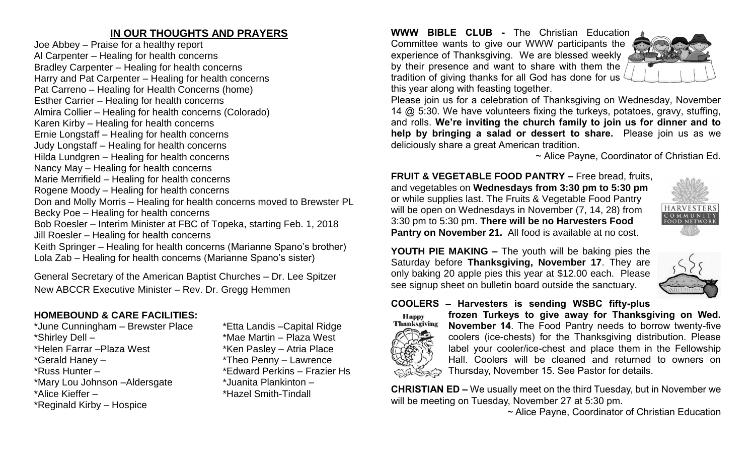# **IN OUR THOUGHTS AND PRAYERS**

Joe Abbey – Praise for a healthy report Al Carpenter – Healing for health concerns Bradley Carpenter – Healing for health concerns Harry and Pat Carpenter – Healing for health concerns Pat Carreno – Healing for Health Concerns (home) Esther Carrier – Healing for health concerns Almira Collier – Healing for health concerns (Colorado) Karen Kirby – Healing for health concerns Ernie Longstaff – Healing for health concerns Judy Longstaff – Healing for health concerns Hilda Lundgren – Healing for health concerns Nancy May – Healing for health concerns Marie Merrifield – Healing for health concerns Rogene Moody – Healing for health concerns Don and Molly Morris – Healing for health concerns moved to Brewster PL Becky Poe – Healing for health concerns Bob Roesler – Interim Minister at FBC of Topeka, starting Feb. 1, 2018 Jill Roesler – Healing for health concerns Keith Springer – Healing for health concerns (Marianne Spano's brother) Lola Zab – Healing for health concerns (Marianne Spano's sister)

General Secretary of the American Baptist Churches – Dr. Lee Spitzer New ABCCR Executive Minister – Rev. Dr. Gregg Hemmen

# **HOMEBOUND & CARE FACILITIES:**

\*June Cunningham – Brewster Place \*Etta Landis –Capital Ridge \*Shirley Dell – \*Mae Martin – Plaza West \*Helen Farrar – Plaza West \*Ken Pasley – Atria Place \*Gerald Haney – \*Theo Penny – Lawrence \*Russ Hunter – \*Edward Perkins – Frazier Hs \*Mary Lou Johnson –Aldersgate \*Juanita Plankinton – \*Alice Kieffer – \*Hazel Smith-Tindall \*Reginald Kirby – Hospice

#### **WWW BIBLE CLUB -** The Christian Education

Committee wants to give our WWW participants the experience of Thanksgiving. We are blessed weekly by their presence and want to share with them the tradition of giving thanks for all God has done for us this year along with feasting together.



Please join us for a celebration of Thanksgiving on Wednesday, November 14 @ 5:30. We have volunteers fixing the turkeys, potatoes, gravy, stuffing, and rolls. **We're inviting the church family to join us for dinner and to help by bringing a salad or dessert to share.** Please join us as we deliciously share a great American tradition.

~ Alice Payne, Coordinator of Christian Ed.

**FRUIT & VEGETABLE FOOD PANTRY –** Free bread, fruits, and vegetables on **Wednesdays from 3:30 pm to 5:30 pm**  or while supplies last. The Fruits & Vegetable Food Pantry will be open on Wednesdays in November (7, 14, 28) from 3:30 pm to 5:30 pm. **There will be no Harvesters Food Pantry on November 21.** All food is available at no cost.



**YOUTH PIE MAKING –** The youth will be baking pies the Saturday before **Thanksgiving, November 17**. They are only baking 20 apple pies this year at \$12.00 each. Please see signup sheet on bulletin board outside the sanctuary.



# **COOLERS – Harvesters is sending WSBC fifty-plus**



**frozen Turkeys to give away for Thanksgiving on Wed. November 14**. The Food Pantry needs to borrow twenty-five coolers (ice-chests) for the Thanksgiving distribution. Please label your cooler/ice-chest and place them in the Fellowship Hall. Coolers will be cleaned and returned to owners on Thursday, November 15. See Pastor for details.

**CHRISTIAN ED –** We usually meet on the third Tuesday, but in November we will be meeting on Tuesday, November 27 at 5:30 pm.

~ Alice Payne, Coordinator of Christian Education